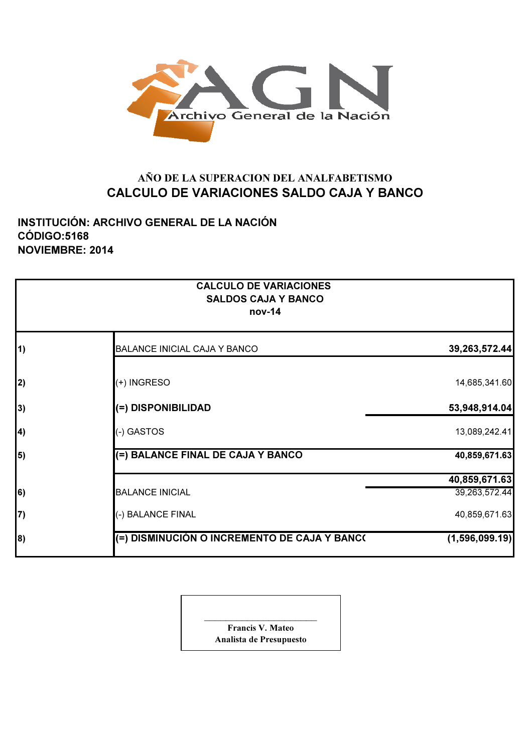

## AÑO DE LA SUPERACION DEL ANALFABETISMO CALCULO DE VARIACIONES SALDO CAJA Y BANCO

INSTITUCIÓN: ARCHIVO GENERAL DE LA NACIÓN CÓDIGO:5168 NOVIEMBRE: 2014

|            | <b>CALCULO DE VARIACIONES</b><br><b>SALDOS CAJA Y BANCO</b><br>nov-14 |                |
|------------|-----------------------------------------------------------------------|----------------|
| $\vert$ 1) | <b>BALANCE INICIAL CAJA Y BANCO</b>                                   | 39,263,572.44  |
| 2)         | (+) INGRESO                                                           | 14,685,341.60  |
| 3)         | (=) DISPONIBILIDAD                                                    | 53,948,914.04  |
| 4)         | (-) GASTOS                                                            | 13,089,242.41  |
| 5)         | (=) BALANCE FINAL DE CAJA Y BANCO                                     | 40,859,671.63  |
|            |                                                                       | 40,859,671.63  |
| $\vert 6)$ | <b>BALANCE INICIAL</b>                                                | 39,263,572.44  |
| 7)         | (-) BALANCE FINAL                                                     | 40,859,671.63  |
| 8)         | (=) DISMINUCIÓN O INCREMENTO DE CAJA Y BANC(                          | (1,596,099.19) |

**Francis V. Mateo** Analista de Presupuesto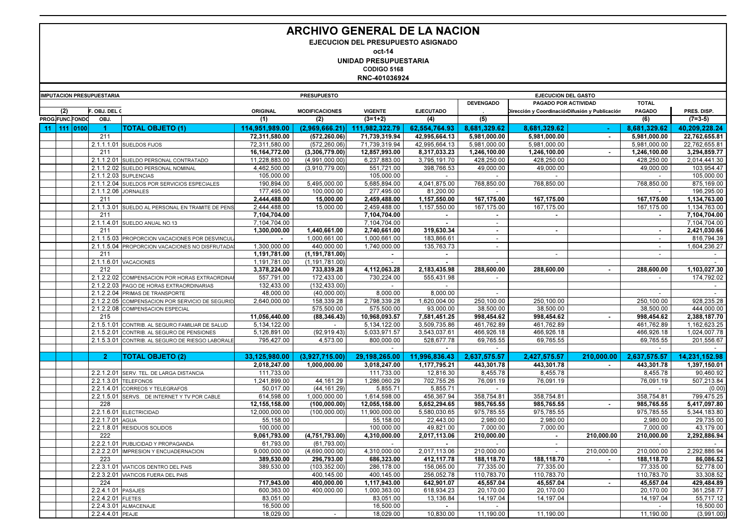## ARCHIVO GENERAL DE LA NACION

EJECUCION DEL PRESUPUESTO ASIGNADO

oct-14

UNIDAD PRESUPUESTARIA

CODIGO 5168

RNC-401036924

|    |     |                 | <b>IMPUTACION PRESUPUESTARIA</b> | <b>PRESUPUESTO</b><br><b>EJECUCION DEL GASTO</b> |                 |                          |                           |                  |                          |                                                |            |                          |                          |
|----|-----|-----------------|----------------------------------|--------------------------------------------------|-----------------|--------------------------|---------------------------|------------------|--------------------------|------------------------------------------------|------------|--------------------------|--------------------------|
|    |     |                 |                                  |                                                  |                 |                          |                           |                  | <b>DEVENGADO</b>         | PAGADO POR ACTIVIDAD                           |            | <b>TOTAL</b>             |                          |
|    | (2) |                 | OBJ. DEL C                       |                                                  | <b>ORIGINAL</b> | <b>MODIFICACIONES</b>    | <b>VIGENTE</b>            | <b>EJECUTADO</b> |                          | Dirección y CoordinaciórDifusión y Publicación |            | <b>PAGADO</b>            | PRES. DISP.              |
|    |     | PROG.FUNC.FONDO | OBJ.                             |                                                  | (1)             | (2)                      | $(3=1+2)$                 | (4)              | (5)                      |                                                |            | (6)                      | $(7=3-5)$                |
| 11 | 111 | 0100            | 1                                | TOTAL OBJETO (1)                                 | 114,951,989.00  | (2,969,666.21)           | 111.982.322.79            | 62,554,764.93    | 8,681,329.62             | 8,681,329.62                                   |            | 8,681,329.62             | 40.209.228.24            |
|    |     |                 | 211                              |                                                  | 72,311,580.00   | (572.260.06)             | 71,739,319.94             | 42.995.664.13    | 5.981.000.00             | 5.981.000.00                                   | $\sim$     | 5.981.000.00             | 22.762.655.81            |
|    |     |                 |                                  | 2.1.1.1.01 SUELDOS FIJOS                         | 72,311,580.00   | (572, 260.06)            | 71,739,319.94             | 42,995,664.13    | 5,981,000.00             | 5,981,000.00                                   |            | 5,981,000.00             | 22,762,655.81            |
|    |     |                 | 211                              |                                                  | 16, 164, 772.00 | (3,306,779.00)           | 12,857,993.00             | 8,317,033.23     | 1,246,100.00             | 1,246,100.00                                   | $\sim$     | 1,246,100.00             | 3,294,859.77             |
|    |     |                 |                                  | 2.1.1.2.01 SUELDO PERSONAL CONTRATADO            | 11,228,883.00   | (4,991,000.00)           | 6,237,883.00              | 3,795,191.70     | 428,250.00               | 428,250.00                                     |            | 428,250.00               | 2,014,441.30             |
|    |     |                 |                                  | 2.1.1.2.02 SUELDO PERSONAL NOMINAL               | 4,462,500.00    | (3,910,779.00)           | 551,721.00                | 398,766.53       | 49,000.00                | 49,000.00                                      |            | 49.000.00                | 103,954.47               |
|    |     |                 |                                  | 2.1.1.2.03 SUPLENCIAS                            | 105,000.00      |                          | 105.000.00                |                  |                          |                                                |            |                          | 105,000.00               |
|    |     |                 |                                  | 2.1.1.2.04 SUELDOS POR SERVICIOS ESPECIALES      | 190,894.00      | 5,495,000.00             | 5,685,894.00              | 4,041,875.00     | 768,850.00               | 768,850.00                                     |            | 768,850.00               | 875,169.00               |
|    |     |                 | 2.1.1.2.06 JORNALES              |                                                  | 177,495.00      | 100.000.00               | 277,495.00                | 81,200.00        |                          |                                                |            | $\sim$                   | 196,295.00               |
|    |     |                 | 211                              |                                                  | 2,444,488.00    | 15,000.00                | 2,459,488.00              | 1,157,550.00     | 167,175.00               | 167,175.00                                     |            | 167,175.00               | 1,134,763.00             |
|    |     |                 |                                  | 2.1.1.3.01 SUELDO AL PERSONAL EN TRAMITE DE PENS | 2,444,488.00    | 15.000.00                | 2.459.488.00              | 1.157.550.00     | 167.175.00               | 167.175.00                                     |            | 167.175.00               | 1,134,763.00             |
|    |     |                 | 211                              |                                                  | 7,104,704.00    |                          | 7,104,704.00              | $\sim$           | $\sim$                   | $\sim$                                         |            | $\sim$                   | 7,104,704.00             |
|    |     |                 |                                  | 2.1.1.4.01 SUELDO ANUAL NO.13                    | 7,104,704.00    |                          | 7,104,704.00              |                  | $\sim$                   |                                                |            |                          | 7,104,704.00             |
|    |     |                 | 211                              |                                                  | 1,300,000.00    | 1,440,661.00             | 2,740,661.00              | 319,630.34       | $\sim$                   | $\blacksquare$                                 |            | $\sim$                   | 2,421,030.66             |
|    |     |                 |                                  | 2.1.1.5.03 PROPORCION VACACIONES POR DESVINCUI   |                 | 1.000.661.00             | 1,000,661.00              | 183.866.61       | $\sim$                   |                                                |            | $\mathbf{L}$             | 816,794.39               |
|    |     |                 |                                  | 2.1.1.5.04 PROPORCION VACACIONES NO DISFRUTADA   | 1,300,000.00    | 440,000.00               | 1,740,000.00              | 135,763.73       | $\overline{\phantom{a}}$ |                                                |            | $\overline{\phantom{a}}$ | 1,604,236.27             |
|    |     |                 | 211                              |                                                  | 1,191,781.00    | (1, 191, 781.00)         | $\sim$                    | $\sim$           |                          | $\overline{\phantom{a}}$                       |            | $\sim$                   | $\sim$                   |
|    |     |                 |                                  | 2.1.1.6.01 VACACIONES                            | 1,191,781.00    | (1, 191, 781.00)         |                           |                  |                          |                                                |            |                          |                          |
|    |     |                 | 212                              |                                                  | 3,378,224.00    | 733,839.28               | 4,112,063.28              | 2,183,435.98     | 288.600.00               | 288.600.00                                     | $\sim$     | 288.600.00               | 1,103,027.30             |
|    |     |                 |                                  | 2.1.2.2.02 COMPENSACION POR HORAS EXTRAORDINAR   | 557,791.00      | 172.433.00               | 730.224.00                | 555.431.98       | $\sim$                   |                                                |            | $\sim$                   | 174.792.02               |
|    |     |                 |                                  | 2.1.2.2.03 PAGO DE HORAS EXTRAORDINARIAS         | 132,433.00      | (132, 433.00)            |                           |                  |                          |                                                |            |                          | $\overline{\phantom{a}}$ |
|    |     |                 |                                  | 2.1.2.2.04 PRIMAS DE TRANSPORTE                  | 48,000.00       | (40,000.00)              | 8,000.00                  | 8,000.00         |                          |                                                |            | $\sim$                   | $\sim$                   |
|    |     |                 |                                  | 2.1.2.2.05 COMPENSACION POR SERVICIO DE SEGURID  | 2,640,000.00    | 158,339.28               | 2,798,339.28              | 1,620,004.00     | 250,100.00               | 250,100.00                                     |            | 250,100.00               | 928,235.28               |
|    |     |                 |                                  | 2.1.2.2.08 COMPENSACION ESPECIAL                 |                 | 575,500.00               | 575,500.00                | 93,000.00        | 38,500.00                | 38,500.00                                      |            | 38,500.00                | 444,000.00               |
|    |     |                 | 215                              |                                                  | 11,056,440.00   |                          | 10,968,093.57             | 7,581,451.25     | 998,454.62               | 998,454.62                                     |            | 998,454.62               | 2,388,187.70             |
|    |     |                 |                                  | 2.1.5.1.01 CONTRIB. AL SEGURO FAMILIAR DE SALUD  | 5,134,122.00    | (88, 346.43)             | 5,134,122.00              | 3.509.735.86     | 461,762.89               | 461.762.89                                     |            | 461.762.89               | 1,162,623.25             |
|    |     |                 | 2.1.5.2.01                       | CONTRIB. AL SEGURO DE PENSIONES                  | 5,126,891.00    | (92, 919.43)             | 5,033,971.57              | 3.543.037.61     | 466,926.18               | 466,926.18                                     |            | 466,926.18               | 1,024,007.78             |
|    |     |                 |                                  |                                                  |                 |                          |                           |                  |                          | 69,765.55                                      |            |                          |                          |
|    |     |                 |                                  | 2.1.5.3.01 CONTRIB. AL SEGURO DE RIESGO LABORALE | 795,427.00      | 4,573.00                 | 800,000.00                | 528,677.78       | 69,765.55                |                                                |            | 69,765.55                | 201,556.67               |
|    |     |                 |                                  |                                                  |                 |                          |                           |                  |                          |                                                |            |                          |                          |
|    |     |                 | $\overline{2}$                   | <b>TOTAL OBJETO (2)</b>                          | 33,125,980.00   | (3,927,715.00)           | 29.198.265.00             | 11,996,836.43    | 2,637,575.57             | 2,427,575.57                                   | 210.000.00 | 2,637,575.57             | 14.231.152.98            |
|    |     |                 |                                  |                                                  | 2.018.247.00    | 1.000.000.00             | 3.018.247.00              | 1.177.795.21     | 443.301.78               | 443.301.78                                     |            | 443.301.78               | 1.397.150.01             |
|    |     |                 | 2.2.1.2.01                       | SERV. TEL. DE LARGA DISTANCIA                    | 111,733.00      |                          | 111,733.00                | 12,816.30        | 8,455.78                 | 8,455.78                                       |            | 8,455.78                 | 90,460.92                |
|    |     |                 |                                  | 2.2.1.3.01 TELEFONOS                             | 1.241.899.00    | 44.161.29                | 1,286,060.29              | 702.755.26       | 76.091.19                | 76.091.19                                      |            | 76.091.19                | 507.213.84               |
|    |     |                 | 2.2.1.4.01                       | CORREOS Y TELEGRAFOS                             | 50,017.00       | (44, 161.29)             | 5,855.71                  | 5,855.71         |                          |                                                |            |                          | (0.00)                   |
|    |     |                 |                                  | 2.2.1.5.01 SERVS. DE INTERNET Y TV POR CABLE     | 614,598.00      | 1,000,000.00             | 1,614,598.00              | 456,367.94       | 358,754.81               | 358,754.81                                     |            | 358,754.81               | 799,475.25               |
|    |     |                 | 228                              |                                                  | 12,155,158.00   | (100, 000.00)            | 12,055,158.00             | 5,652,294.65     | 985,765.55               | 985,765.55                                     | $\sim$     | 985,765.55               | 5,417,097.80             |
|    |     |                 |                                  | 2.2.1.6.01 ELECTRICIDAD                          | 12,000,000.00   | (100, 000, 00)           | 11,900,000.00             | 5,580,030.65     | 975,785.55               | 975,785.55                                     |            | 975,785.55               | 5,344,183.80             |
|    |     |                 | 2.2.1.7.01 AGUA                  |                                                  | 55,158.00       |                          | 55,158.00                 | 22,443.00        | 2,980.00                 | 2,980.00                                       |            | 2,980.00                 | 29,735.00                |
|    |     |                 |                                  | 2.2.1.8.01 RESIDUOS SOLIDOS                      | 100,000.00      |                          | 100,000.00                | 49,821.00        | 7,000.00                 | 7,000.00                                       |            | 7,000.00                 | 43,179.00                |
|    |     |                 | 222                              |                                                  | 9,061,793.00    | (4,751,793.00)           | 4.310.000.00              | 2,017,113.06     | 210.000.00               | $\sim$                                         | 210.000.00 | 210.000.00               | 2,292,886.94             |
|    |     |                 |                                  | 2.2.2.1.01 PUBLICIDAD Y PROPAGANDA               | 61,793.00       | (61,793.00)              | $\blacksquare$            | $\sim$           | $\sim$                   | $\overline{\phantom{a}}$                       |            | $\overline{\phantom{a}}$ |                          |
|    |     |                 | 2.2.2.2.01                       | IMPRESION Y ENCUADERNACION                       | 9.000.000.00    | (4,690,000.00)           | 4.310.000.00              | 2.017.113.06     | 210.000.00               |                                                | 210.000.00 | 210.000.00               | 2,292,886.94             |
|    |     |                 | 223                              |                                                  | 389,530.00      | 296,793.00               | 686,323.00                | 412,117.78       | 188,118.70               | 188,118.70                                     | $\sim$     | 188,118.70               | 86,086.52                |
|    |     |                 |                                  | 2.2.3.1.01 VIATICOS DENTRO DEL PAIS              | 389.530.00      | (103, 352.00)            | 286,178.00                | 156.065.00       | 77.335.00                | 77.335.00                                      |            | 77.335.00                | 52,778.00                |
|    |     |                 |                                  | 2.2.3.2.01 VIATICOS FUERA DEL PAIS               |                 | 400,145.00               | 400,145.00                | 256,052.78       | 110,783.70               | 110,783.70                                     |            | 110,783.70               | 33,308.52                |
|    |     |                 | 224                              |                                                  | 717,943.00      | 400.000.00               | $\overline{1,}117,943.00$ | 642,901.07       | 45,557.04                | 45,557.04                                      |            | 45,557.04                | 429,484.89               |
|    |     |                 | 2.2.4.1.01 PASAJES               |                                                  | 600,363.00      | 400,000.00               | 1,000,363.00              | 618,934.23       | 20,170.00                | 20,170.00                                      |            | 20,170.00                | 361,258.77               |
|    |     |                 | 2.2.4.2.01 FLETES                |                                                  | 83,051.00       |                          | 83,051.00                 | 13,136.84        | 14,197.04                | 14,197.04                                      |            | 14,197.04                | 55,717.12                |
|    |     |                 |                                  | 2.2.4.3.01 ALMACENAJE                            | 16,500.00       |                          | 16,500.00                 | $\sim$           | $\sim$                   |                                                |            | $\sim$                   | 16,500.00                |
|    |     |                 | 2.2.4.4.01 PEAJE                 |                                                  | 18,029.00       | $\overline{\phantom{a}}$ | 18,029.00                 | 10,830.00        | 11,190.00                | 11,190.00                                      |            | 11,190.00                | (3,991.00)               |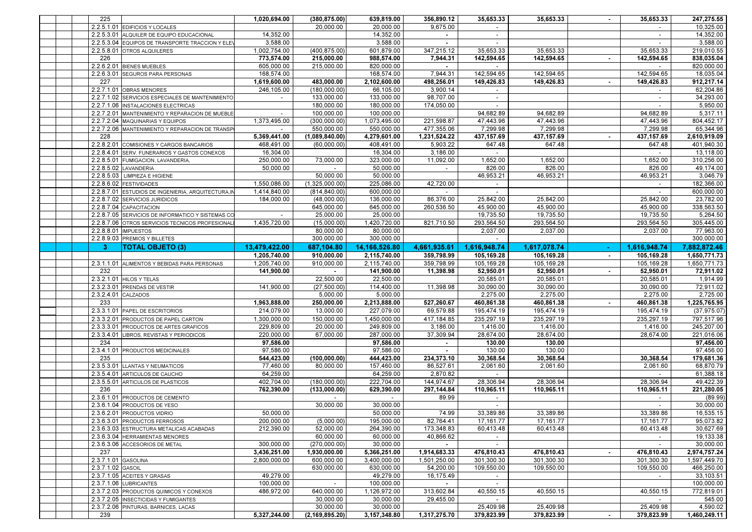|  | 225                 |                                                     | 1,020,694.00  | (380, 875.00)                 | 639.819.00                | 356,890.12   | 35,653.33                | 35,653.33               |                | 35,653.33                              | 247,275.55               |
|--|---------------------|-----------------------------------------------------|---------------|-------------------------------|---------------------------|--------------|--------------------------|-------------------------|----------------|----------------------------------------|--------------------------|
|  |                     | 2.2.5.1.01 EDIFICIOS Y LOCALES                      |               | 20,000.00                     | 20,000.00                 | 9,675.00     |                          |                         |                |                                        | 10,325.00                |
|  |                     | 2.2.5.3.01 ALQUILER DE EQUIPO EDUCACIONAL           | 14,352.00     |                               | 14,352.00                 | $\sim$       |                          |                         |                |                                        | 14,352.00                |
|  |                     | 2.2.5.3.04 EQUIPOS DE TRANSPORTE TRACCION Y ELEY    | 3,588.00      |                               | 3,588.00                  | $\sim$       |                          |                         |                |                                        | 3,588.00                 |
|  |                     | 2.2.5.8.01 OTROS ALQUILERES                         | 1,002,754.00  | (400, 875, 00)                | 601,879.00                | 347,215.12   | 35,653.33                | 35,653.33               |                | 35,653.33                              | 219,010.55               |
|  | 226                 |                                                     | 773,574.00    | 215,000.00                    | 988,574.00                | 7,944.31     | 142,594.65               | 142,594.65              | $\blacksquare$ | 142,594.65                             | 838,035.04               |
|  |                     |                                                     |               |                               |                           |              |                          |                         |                |                                        |                          |
|  |                     | 2.2.6.2.01 BIENES MUEBLES                           | 605,000.00    | 215,000.00                    | 820,000.00                |              |                          |                         |                |                                        | 820,000.00               |
|  |                     | 2.2.6.3.01 SEGUROS PARA PERSONAS                    | 168,574.00    |                               | 168,574.00                | 7,944.31     | 142,594.65               | 142,594.65              |                | 142,594.65                             | 18,035.04                |
|  | 227                 |                                                     | 1,619,600.00  | 483,000.00                    | 2,102,600.00              | 498,256.01   | 149,426.83               | 149,426.83              | $\sim$         | 149,426.83                             | 912,217.14               |
|  |                     | 2.2.7.1.01 OBRAS MENORES                            | 246,105.00    | (180,000.00)                  | 66,105.00                 | 3,900.14     | $\overline{\phantom{a}}$ |                         |                |                                        | 62,204.86                |
|  |                     | 2.2.7.1.02 SERVICIOS ESPECIALES DE MANTENIMIENTO    | $\sim$        | 133,000.00                    | 133,000.00                | 98,707.00    | $\sim$                   |                         |                | $\sim$                                 | 34,293.00                |
|  |                     | 2.2.7.1.06 INSTALACIONES ELECTRICAS                 |               | 180,000.00                    | 180,000.00                | 174,050.00   | $\sim$                   |                         |                | $\overline{\phantom{a}}$               | 5,950.00                 |
|  |                     | 2.2.7.2.01 MANTENIMIENTO Y REPARACION DE MUEBLE     | $\sim$        | 100,000.00                    | 100.000.00                |              | 94,682.89                | 94,682.89               |                | 94,682.89                              | 5,317.11                 |
|  |                     | 2.2.7.2.04 MAQUINARIAS Y EQUIPOS                    | 1,373,495.00  | (300,000.00)                  | 1.073.495.00              | 221,598.87   | 47,443.96                | 47,443.96               |                | 47,443.96                              | 804,452.17               |
|  |                     | 2.2.7.2.06 MANTENIMIENTO Y REPARACION DE TRANSF     |               | 550,000.00                    | 550,000.00                | 477,355.06   | 7,299.98                 | 7,299.98                |                | 7,299.98                               | 65,344.96                |
|  | 228                 |                                                     | 5,369,441.00  | (1,089,840.00)                | 4,279,601.00              | 1,231,524.22 | 437,157.69               | 437, 157.69             |                | 437, 157.69                            | 2,610,919.09             |
|  |                     | 2.2.8.2.01 COMISIONES Y CARGOS BANCARIOS            | 468,491.00    | (60,000.00)                   | 408,491.00                | 5,903.22     | 647.48                   | 647.48                  |                | 647.48                                 | 401,940.30               |
|  |                     | 2.2.8.4.01 SERV. FUNERARIOS Y GASTOS CONEXOS        | 16,304.00     |                               | 16,304.00                 | 3,186.00     |                          |                         |                |                                        | 13,118.00                |
|  |                     |                                                     |               |                               |                           |              |                          |                         |                |                                        |                          |
|  |                     | 2.2.8.5.01 FUMIGACION, LAVANDERIA,                  | 250,000.00    | 73,000.00                     | 323,000.00                | 11,092.00    | 1,652.00                 | 1,652.00                |                | 1,652.00                               | 310,256.00               |
|  | 2.2.8.5.02          | LAVANDERIA                                          | 50,000.00     |                               | 50,000.00                 | $\sim$       | 826.00                   | 826.00                  |                | 826,00                                 | 49,174.00                |
|  | 2.2.8.5.03          | LIMPIEZA E HIGIENE                                  |               | 50,000.00                     | 50,000.00                 |              | 46,953.21                | 46,953.21               |                | 46,953.21                              | 3,046.79                 |
|  |                     | 2.2.8.6.02 FESTIVIDADES                             | 1,550,086.00  | (1,325,000.00)                | 225,086.00                | 42,720.00    | $\sim$                   |                         |                | $\sim$                                 | 182,366.00               |
|  |                     | 2.2.8.7.01 ESTUDIOS DE INGENIERIA, ARQUITECTURA, IN | 1,414,840.00  | (814, 840.00)                 | 600,000.00                | $\sim$       | $\sim$                   |                         |                | $\overline{\phantom{a}}$               | 600,000.00               |
|  |                     | 2.2.8.7.02 SERVICIOS JURIDICOS                      | 184.000.00    | (48,000.00)                   | 136,000.00                | 86,376.00    | 25,842.00                | 25,842.00               |                | 25,842.00                              | 23,782.00                |
|  |                     | 2.2.8.7.04 CAPACITACION                             |               | 645,000.00                    | 645,000.00                | 260,536.50   | 45,900.00                | 45,900.00               |                | 45,900.00                              | 338,563.50               |
|  |                     | 2.2.8.7.05 SERVICIOS DE INFORMATICO Y SISTEMAS CO   |               | 25,000.00                     | 25,000.00                 |              | 19,735.50                | 19,735.50               |                | 19,735.50                              | 5,264.50                 |
|  |                     | 2.2.8.7.06 OTROS SERVICIOS TECNICOS PROFESIONAL     | 1,435,720.00  | (15,000.00)                   | 1,420,720.00              | 821,710.50   | 293,564.50               | 293,564.50              |                | 293,564.50                             | 305,445.00               |
|  |                     | 2.2.8.8.01 IMPUESTOS                                |               | 80,000.00                     | 80,000.00                 |              | 2,037.00                 | 2,037.00                |                | 2,037.00                               | 77,963.00                |
|  |                     | 2.2.8.9.03 PREMIOS Y BILLETES                       |               | 300,000.00                    | 300,000.00                |              |                          |                         |                |                                        | 300,000.00               |
|  | -3.                 | <b>TOTAL OBJETO (3)</b>                             | 13,479,422.00 | 687,104.80                    | 14,166,526.80             | 4,661,935.61 | 1,616,948.74             | 1,617,078.74            |                | 1,616,948.74                           | 7,882,872.46             |
|  |                     |                                                     |               |                               |                           |              |                          |                         |                | 105.169.28                             | 1,650,771.73             |
|  |                     |                                                     | 1,205,740.00  | 910,000.00<br>910,000.00      | 2,115,740.00              | 359,798.99   | 105,169.28               | 105,169.28              | $\sim$         | 105,169.28                             |                          |
|  |                     |                                                     |               |                               |                           |              |                          |                         |                |                                        |                          |
|  |                     | 2.3.1.1.01 ALIMENTOS Y BEBIDAS PARA PERSONAS        | 1,205,740.00  |                               | 2,115,740.00              | 359,798.99   | 105,169.28               | 105,169.28              |                |                                        | 1,650,771.73             |
|  | 232                 |                                                     | 141,900.00    | $\sim$                        | 141,900.00                | 11,398.98    | 52,950.01                | 52,950.01               |                | 52,950.01                              | 72,911.02                |
|  |                     | 2.3.2.1.01 HILOS Y TELAS                            |               | 22,500.00                     | 22,500.00                 |              | 20,585.01                | 20,585.01               |                | 20,585.01                              | 1,914.99                 |
|  |                     | 2.3.2.3.01 PRENDAS DE VESTIR                        | 141,900.00    | (27, 500.00)                  | 114,400.00                | 11,398.98    | 30,090.00                | 30,090.00               |                | 30,090.00                              | 72,911.02                |
|  | 2.3.2.4.01 CALZADOS |                                                     |               | 5,000.00                      | 5,000.00                  |              | 2,275.00                 | 2,275.00                |                | 2,275.00                               | 2,725.00                 |
|  | 233                 |                                                     | 1,963,888.00  | 250,000.00                    | 2,213,888.00              | 527,260.67   | 460,861.38               | 460,861.38              |                | 460,861.38                             | 1,225,765.95             |
|  |                     | 2.3.3.1.01 PAPEL DE ESCRITORIOS                     | 214,079.00    | 13,000.00                     | 227,079.00                | 69,579.88    | 195,474.19               | 195,474.19              |                | 195,474.19                             | (37, 975.07)             |
|  |                     |                                                     | 1,300,000.00  | 150,000.00                    | 1,450,000.00              | 417,184.85   |                          |                         |                |                                        |                          |
|  |                     | 2.3.3.2.01 PRODUCTOS DE PAPEL CARTON                |               |                               |                           |              | 235,297.19               | 235,297.19              |                | 235,297.19                             | 797,517.96               |
|  |                     | 2.3.3.3.01 PRODUCTOS DE ARTES GRAFICOS              | 229,809.00    | 20,000.00                     | 249,809.00                | 3,186.00     | 1,416.00                 | 1,416.00                |                | 1,416.00                               | 245,207.00               |
|  |                     | 2.3.3.4.01 LIBROS, REVISTAS Y PERIODICOS            | 220,000.00    | 67,000.00                     | 287,000.00                | 37,309.94    | 28,674.00                | 28,674.00               |                | 28,674.00                              | 221,016.06               |
|  | 234                 |                                                     | 97,586.00     |                               | 97,586.00                 |              | 130.00                   | 130.00                  |                |                                        | 97,456.00                |
|  |                     | 2.3.4.1.01 PRODUCTOS MEDICINALES                    | 97,586.00     |                               | 97,586.00                 |              | 130.00                   | 130.00                  |                |                                        | 97,456.00                |
|  | 235                 |                                                     | 544,423.00    | (100,000.00)                  | 444,423.00                | 234,373.10   | 30,368.54                | 30,368.54               |                | 30,368.54                              | 179,681.36               |
|  |                     | 2.3.5.3.01 LLANTAS Y NEUMATICOS                     | 77,460.00     | 80,000.00                     | 157,460.00                | 86,527.61    | 2,061.60                 | 2,061.60                |                | 2,061.60                               | 68,870.79                |
|  |                     | 2.3.5.4.01 ARTICULOS DE CAUCHO                      | 64,259.00     |                               | 64.259.00                 | 2,870.82     | $\sim$                   |                         |                |                                        | 61,388.18                |
|  |                     | 2.3.5.5.01 ARTICULOS DE PLASTICOS                   | 402.704.00    | (180.000.00)                  | 222.704.00                | 144,974.67   | 28,306.94                | 28.306.94               |                | 28,306.94                              | 49,422.39                |
|  | 236                 |                                                     | 762,390.00    | (133,000.00)                  | 629,390.00                | 297,144.84   | 110,965.11               | 110,965.11              |                | 110,965.11                             | 221,280.05               |
|  |                     | 2.3.6.1.01 PRODUCTOS DE CEMENTO                     |               | $\overline{\phantom{a}}$      | $\sim$                    | 89.99        | $\sim$                   |                         |                | $\sim$                                 | (89.99)                  |
|  |                     | 2.3.6.1.04 PRODUCTOS DE YESO                        |               | 30,000.00                     | 30.000.00                 |              | $\overline{a}$           |                         |                |                                        | 30,000.00                |
|  |                     | 2.3.6.2.01 PRODUCTOS VIDRIO                         | 50,000.00     |                               | 50,000.00                 | 74.99        | 33,389.86                | 33,389.86               |                | 33,389.86                              | 16,535.15                |
|  |                     | 2.3.6.3.01 PRODUCTOS FERROSOS                       | 200,000.00    | (5,000.00)                    | 195,000.00                | 82,764.41    | 17,161.77                | 17,161.77               |                | 17,161.77                              | 95,073.82                |
|  |                     | 2.3.6.3.03 ESTRUCTURA METALICAS ACABADAS            | 212,390.00    | 52,000.00                     | 264,390.00                | 173,348.83   | 60,413.48                | 60,413.48               |                | 60,413.48                              | 30,627.69                |
|  |                     | 2.3.6.3.04 HERRAMIENTAS MENORES                     |               | 60,000.00                     | 60,000.00                 | 40,866.62    | $\sim$                   |                         |                |                                        | 19,133.38                |
|  |                     | 2.3.6.3.06 ACCESORIOS DE METAL                      | 300,000.00    | (270,000.00)                  | 30,000.00                 |              | $\sim$                   |                         |                |                                        | 30,000.00                |
|  | 237                 |                                                     | 3,436,251.00  | 1,930,000.00                  | 5,366,251.00              | 1,914,683.33 | 476,810.43               | 476,810.43              | $\blacksquare$ | 476,810.43                             | 2,974,757.24             |
|  | 2.3.7.1.01 GASOLINA |                                                     | 2,800,000.00  | 600,000.00                    | 3,400,000.00              | 1,501,250.00 | 301,300.30               | 301,300.30              |                | 301,300.30                             | 1,597,449.70             |
|  |                     |                                                     |               |                               | 630.000.00                |              |                          |                         |                |                                        |                          |
|  | 2.3.7.1.02 GASOIL   |                                                     |               | 630,000.00                    |                           | 54,200.00    | 109,550.00<br>$\sim$     | 109,550.00              |                | 109,550.00<br>$\overline{\phantom{a}}$ | 466,250.00               |
|  |                     | 2.3.7.1.05 ACEITES Y GRASAS                         | 49,279.00     |                               | 49,279.00                 | 16,175.49    |                          |                         |                |                                        | 33,103.51                |
|  |                     | 2.3.7.1.06 LUBRICANTES                              | 100,000.00    | $\sim$                        | 100,000.00                | $\sim$       | $\sim$                   |                         |                |                                        | 100,000.00               |
|  |                     | 2.3.7.2.03 PRODUCTOS QUIMICOS Y CONEXOS             | 486,972.00    | 640,000.00                    | 1,126,972.00              | 313,602.84   | 40,550.15                | 40,550.15               |                | 40,550.15                              | 772,819.01               |
|  |                     | 2.3.7.2.05 INSECTICIDAS Y FUMIGANTES                |               | 30,000.00                     | 30,000.00                 | 29,455.00    | $\sim$                   |                         |                |                                        | 545.00                   |
|  | 239                 | 2.3.7.2.06 PINTURAS, BARNICES, LACAS                | 5,327,244.00  | 30,000.00<br>(2, 169, 895.20) | 30,000.00<br>3,157,348.80 | 1,317,275.70 | 25,409.98<br>379,823.99  | 25,409.98<br>379,823.99 | $\sim$         | 25,409.98<br>379,823.99                | 4,590.02<br>1,460,249.11 |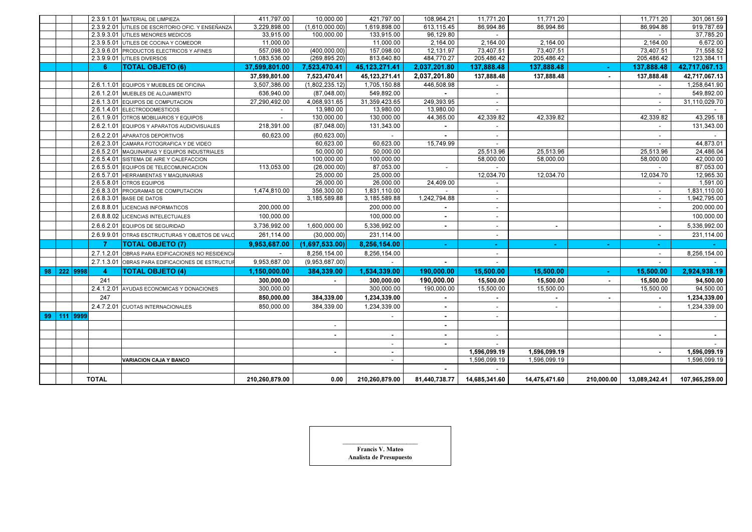|  |             |                         | 2.3.9.1.01 MATERIAL DE LIMPIEZA                   | 411,797.00     | 10,000.00      | 421,797.00               | 108,964.21    | 11,771.20                | 11,771.20     |                | 11,771.20                | 301,061.59     |
|--|-------------|-------------------------|---------------------------------------------------|----------------|----------------|--------------------------|---------------|--------------------------|---------------|----------------|--------------------------|----------------|
|  |             |                         | 2.3.9.2.01 UTILES DE ESCRITORIO OFIC. Y ENSEÑANZA | 3,229,898.00   | (1,610,000.00) | 1,619,898.00             | 613,115.45    | 86,994.86                | 86.994.86     |                | 86.994.86                | 919,787.69     |
|  |             |                         | 2.3.9.3.01 UTILES MENORES MEDICOS                 | 33,915.00      | 100,000.00     | 133,915.00               | 96,129.80     |                          |               |                |                          | 37,785.20      |
|  |             |                         | 2.3.9.5.01 UTILES DE COCINA Y COMEDOR             | 11,000.00      |                | 11,000.00                | 2,164.00      | 2,164.00                 | 2,164.00      |                | 2,164.00                 | 6,672.00       |
|  |             |                         | 2.3.9.6.01 PRODUCTOS ELECTRICOS Y AFINES          | 557,098.00     | (400,000,00)   | 157,098.00               | 12,131.97     | 73,407.51                | 73,407.51     |                | 73,407.51                | 71,558.52      |
|  |             |                         | 2.3.9.9.01 UTILES DIVERSOS                        | 1,083,536.00   | (269, 895.20)  | 813,640.80               | 484,770.27    | 205,486.42               | 205,486.42    |                | 205,486.42               | 123,384.11     |
|  |             | 6                       | <b>TOTAL OBJETO (6)</b>                           | 37,599,801.00  | 7,523,470.41   | 45,123,271.41            | 2,037,201.80  | 137,888.48               | 137,888.48    |                | 137,888.48               | 42,717,067.13  |
|  |             |                         |                                                   | 37.599.801.00  | 7.523.470.41   | 45.123.271.41            | 2.037.201.80  | 137,888.48               | 137,888.48    | $\sim$         | 137,888.48               | 42.717.067.13  |
|  |             |                         | 2.6.1.1.01 EQUIPOS Y MUEBLES DE OFICINA           | 3,507,386.00   | (1,802,235.12) | 1,705,150.88             | 446,508.98    |                          |               |                |                          | 1,258,641.90   |
|  |             |                         | 2.6.1.2.01 MUEBLES DE ALOJAMIENTO                 | 636,940.00     | (87,048.00)    | 549,892.00               |               |                          |               |                |                          | 549,892.00     |
|  |             |                         | 2.6.1.3.01 EQUIPOS DE COMPUTACION                 | 27,290,492.00  | 4,068,931.65   | 31,359,423.65            | 249,393.95    | $\overline{\phantom{a}}$ |               |                | $\overline{\phantom{a}}$ | 31,110,029.70  |
|  |             |                         | 2.6.1.4.01 ELECTRODOMESTICOS                      |                | 13,980.00      | 13,980.00                | 13,980.00     |                          |               |                |                          |                |
|  |             |                         | 2.6.1.9.01 OTROS MOBILIARIOS Y EQUIPOS            |                | 130,000.00     | 130,000.00               | 44,365.00     | 42,339.82                | 42.339.82     |                | 42,339.82                | 43,295.18      |
|  |             |                         | 2.6.2.1.01 EQUIPOS Y APARATOS AUDIOVISUALES       | 218,391.00     | (87,048.00)    | 131,343.00               | $\sim$        |                          |               |                | $\sim$                   | 131,343.00     |
|  |             |                         | 2.6.2.2.01 APARATOS DEPORTIVOS                    | 60,623.00      | (60, 623.00)   |                          |               | $\overline{\phantom{a}}$ |               |                | $\overline{\phantom{a}}$ |                |
|  |             |                         | 2.6.2.3.01 CAMARA FOTOGRAFICA Y DE VIDEO          |                | 60,623.00      | 60,623.00                | 15,749.99     | $\sim$                   |               |                |                          | 44,873.01      |
|  |             |                         | 2.6.5.2.01 MAQUINARIAS Y EQUIPOS INDUSTRIALES     |                | 50,000.00      | 50,000.00                |               | 25,513.96                | 25,513.96     |                | 25,513.96                | 24,486.04      |
|  |             |                         | 2.6.5.4.01 SISTEMA DE AIRE Y CALEFACCION          |                | 100,000.00     | 100,000.00               |               | 58,000.00                | 58,000.00     |                | 58,000.00                | 42,000.00      |
|  |             |                         | 2.6.5.5.01 EQUIPOS DE TELECOMUNICACION            | 113.053.00     | (26,000.00)    | 87,053.00                | $\sim$        |                          |               |                |                          | 87,053.00      |
|  |             |                         | 2.6.5.7.01 HERRAMIENTAS Y MAQUINARIAS             |                | 25,000.00      | 25,000.00                |               | 12,034.70                | 12,034.70     |                | 12,034.70                | 12,965.30      |
|  |             |                         | 2.6.5.8.01 OTROS EQUIPOS                          |                | 26,000.00      | 26,000.00                | 24,409.00     | $\overline{\phantom{a}}$ |               |                | $\overline{\phantom{a}}$ | 1,591.00       |
|  |             |                         | 2.6.8.3.01 PROGRAMAS DE COMPUTACION               | 1,474,810.00   | 356,300.00     | 1,831,110.00             | $\sim$        | $\overline{\phantom{a}}$ |               |                | $\sim$                   | 1,831,110.00   |
|  |             |                         | 2.6.8.3.01 BASE DE DATOS                          |                | 3,185,589.88   | 3,185,589.88             | 1,242,794.88  | $\blacksquare$           |               |                | $\sim$                   | 1,942,795.00   |
|  |             |                         | 2.6.8.8.01 LICENCIAS INFORMATICOS                 | 200,000.00     |                | 200,000.00               |               |                          |               |                |                          | 200,000.00     |
|  |             |                         | 2.6.8.8.02 LICENCIAS INTELECTUALES                | 100,000.00     |                | 100,000.00               |               |                          |               |                |                          | 100,000.00     |
|  |             |                         | 2.6.6.2.01 EQUIPOS DE SEGURIDAD                   | 3,736,992.00   | 1,600,000.00   | 5,336,992.00             | $\sim$        | $\sim$                   | $\sim$        |                | $\sim$                   | 5,336,992.00   |
|  |             |                         | 2.6.9.9.01 OTRAS ESCTRUCTURAS Y OBJETOS DE VALO   | 261,114.00     | (30,000.00)    | 231,114.00               |               | $\blacksquare$           |               |                | $\overline{\phantom{a}}$ | 231,114.00     |
|  |             |                         | <b>TOTAL OBJETO (7)</b>                           | 9,953,687.00   | (1,697,533.00) | 8,256,154.00             | $\sim$        | $\sim$                   | $\sim$        | $\sim$         | $\sim$                   |                |
|  |             | 2.7.1.2.01              | OBRAS PARA EDIFICACIONES NO RESIDENCI             |                | 8,256,154.00   | 8,256,154.00             |               |                          |               |                | $\overline{\phantom{a}}$ | 8,256,154.00   |
|  |             | 2.7.1.3.01              | OBRAS PARA EDIFICACIONES DE ESTRUCTUR             | 9,953,687.00   | (9,953,687.00) |                          | $\sim$        |                          |               |                |                          |                |
|  | 98 222 9998 | $\overline{\mathbf{A}}$ | <b>TOTAL OBJETO (4)</b>                           | 1,150,000.00   | 384,339.00     | 1,534,339.00             | 190,000.00    | 15,500.00                | 15,500.00     |                | 15,500.00                | 2,924,938.19   |
|  |             | 241                     |                                                   | 300,000.00     |                | 300,000.00               | 190,000.00    | 15,500.00                | 15,500.00     |                | 15,500.00                | 94,500.00      |
|  |             |                         | 2.4.1.2.01 AYUDAS ECONOMICAS Y DONACIONES         | 300,000.00     |                | 300,000.00               | 190,000.00    | 15,500.00                | 15,500.00     |                | 15,500.00                | 94,500.00      |
|  |             | 247                     |                                                   | 850,000.00     | 384,339.00     | 1,234,339.00             |               |                          | $\sim$        | $\blacksquare$ |                          | 1,234,339.00   |
|  |             |                         | 2.4.7.2.01 CUOTAS INTERNACIONALES                 | 850,000.00     | 384,339.00     | 1,234,339.00             | $\sim$        |                          | $\sim$        |                |                          | 1,234,339.00   |
|  | 99 111 9999 |                         |                                                   |                |                |                          | $\sim$        |                          |               |                |                          |                |
|  |             |                         |                                                   |                |                |                          | $\sim$        |                          |               |                |                          |                |
|  |             |                         |                                                   |                | $\sim$         | $\sim$                   | $\sim$        |                          |               |                | $\sim$                   |                |
|  |             |                         |                                                   |                |                | $\overline{\phantom{a}}$ | $\sim$        | $\sim$                   |               |                |                          |                |
|  |             |                         |                                                   |                | $\sim$         | $\sim$                   |               | 1,596,099.19             | 1,596,099.19  |                | $\sim$                   | 1,596,099.19   |
|  |             |                         | <b>VARIACION CAJA Y BANCO</b>                     |                |                | $\sim$                   |               | 1,596,099.19             | 1,596,099.19  |                |                          | 1,596,099.19   |
|  |             |                         |                                                   |                |                |                          | $\sim$        |                          |               |                |                          |                |
|  |             | <b>TOTAL</b>            |                                                   | 210,260,879.00 | 0.00           | 210,260,879.00           | 81,440,738.77 | 14,685,341.60            | 14,475,471.60 | 210.000.00     | 13,089,242.41            | 107,965,259.00 |

| <b>Francis V. Mateo</b> |  |
|-------------------------|--|
| Analista de Presupuesto |  |